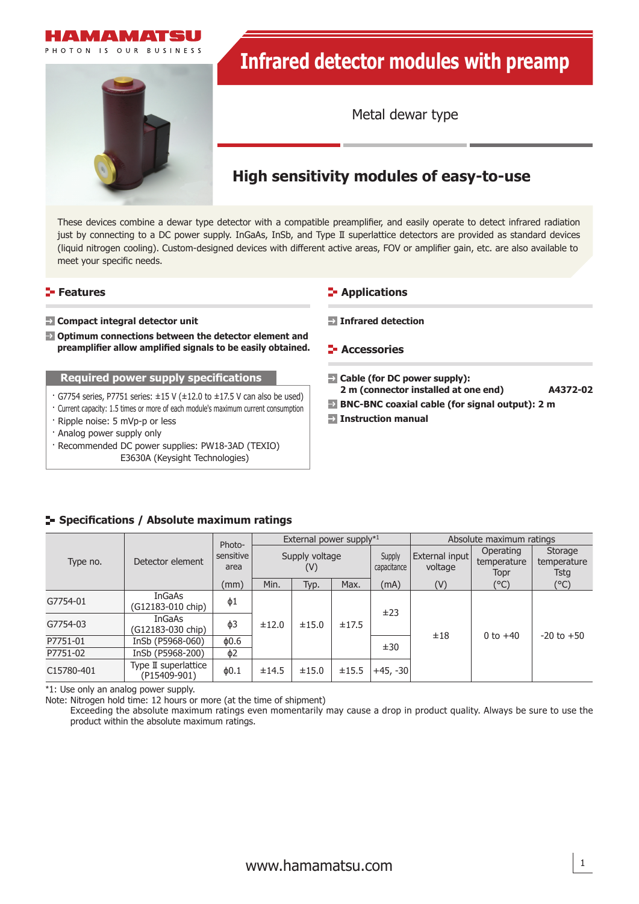



Metal dewar type

# **High sensitivity modules of easy-to-use**

These devices combine a dewar type detector with a compatible preamplifier, and easily operate to detect infrared radiation just by connecting to a DC power supply. InGaAs, InSb, and Type II superlattice detectors are provided as standard devices (liquid nitrogen cooling). Custom-designed devices with different active areas, FOV or amplifier gain, etc. are also available to meet your specific needs.

### **Features**

#### **Compact integral detector unit**

 **Optimum connections between the detector element and**  preamplifier allow amplified signals to be easily obtained.

#### **Required power supply specifications**

- $\cdot$  G7754 series, P7751 series:  $\pm$ 15 V ( $\pm$ 12.0 to  $\pm$ 17.5 V can also be used)
- · Current capacity: 1.5 times or more of each module's maximum current consumption
- · Ripple noise: 5 mVp-p or less
- · Analog power supply only
- · Recommended DC power supplies: PW18-3AD (TEXIO) E3630A (Keysight Technologies)

### **E-** Applications

- **Infrared detection**
- **E-** Accessories
- **Cable (for DC power supply):**
- **2 m (connector installed at one end) A4372-02**
- **BNC-BNC coaxial cable (for signal output): 2 m**
- **Instruction manual**

### **Specifi cations / Absolute maximum ratings**

| Type no.   | Detector element                     | Photo-            | External power supply*1 |                       |       |            | Absolute maximum ratings  |                                  |                                |  |
|------------|--------------------------------------|-------------------|-------------------------|-----------------------|-------|------------|---------------------------|----------------------------------|--------------------------------|--|
|            |                                      | sensitive<br>area |                         | Supply voltage<br>(V) |       |            | External input<br>voltage | Operating<br>temperature<br>Topr | Storage<br>temperature<br>Tstg |  |
|            |                                      | (mm)              | Min.                    | Typ.                  | Max.  | (mA)       | (V)                       | (°C)                             | $(^{\circ}C)$                  |  |
| G7754-01   | <b>InGaAs</b><br>(G12183-010 chip)   | $\phi$ 1          |                         |                       |       | ±23        |                           |                                  |                                |  |
| G7754-03   | <b>InGaAs</b><br>(G12183-030 chip)   | $\phi$ 3<br>±12.0 |                         | ±15.0                 | ±17.5 |            |                           |                                  |                                |  |
| P7751-01   | InSb (P5968-060)                     | $\phi$ 0.6        |                         |                       |       | ±30        | ±18                       | 0 to $+40$                       | $-20$ to $+50$                 |  |
| P7751-02   | InSb (P5968-200)                     | ф2                |                         |                       |       |            |                           |                                  |                                |  |
| C15780-401 | Type II superlattice<br>(P15409-901) | $\phi$ 0.1        | ±14.5                   | ±15.0                 | ±15.5 | $+45, -30$ |                           |                                  |                                |  |

\*1: Use only an analog power supply.

Note: Nitrogen hold time: 12 hours or more (at the time of shipment)

Exceeding the absolute maximum ratings even momentarily may cause a drop in product quality. Always be sure to use the product within the absolute maximum ratings.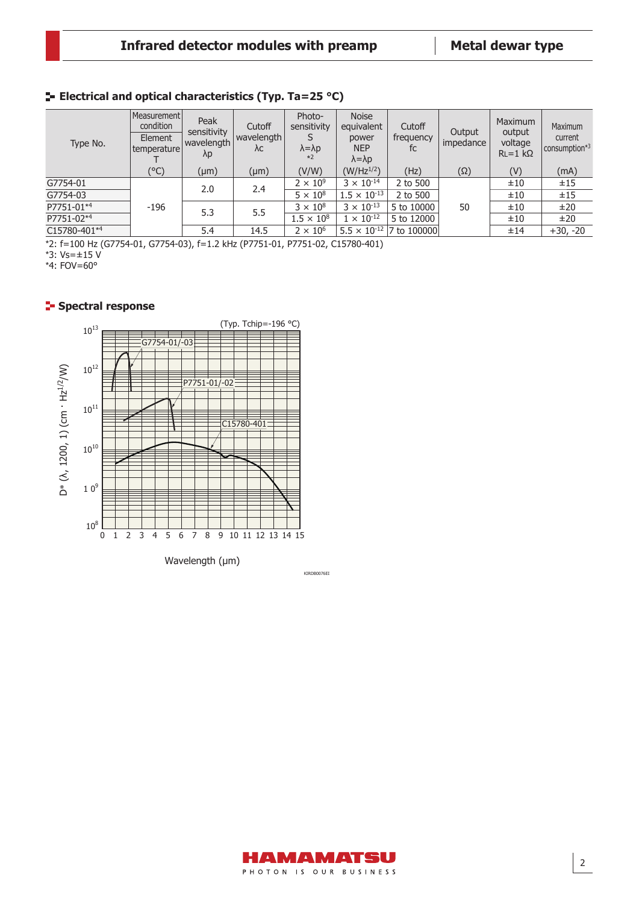### **ELECTRICAL AND OPTICAL CHARACTERISTICS (Typ. Ta=25 °C)**

| Type No.     | Measurement<br>condition<br>Element<br>temperature | Peak<br>sensitivity<br>wavelength<br>$\lambda p$ | Cutoff<br>wavelength<br>λc | Photo-<br>sensitivity<br>$\lambda = \lambda p$<br>$*2$ | <b>Noise</b><br>equivalent<br>power<br><b>NEP</b><br>$\lambda = \lambda p$ | Cutoff<br>frequency<br>fc         | Output<br>impedance | Maximum<br>output<br>voltage<br>$RL = 1 k\Omega$ | Maximum<br>current<br>consumption*3 |
|--------------|----------------------------------------------------|--------------------------------------------------|----------------------------|--------------------------------------------------------|----------------------------------------------------------------------------|-----------------------------------|---------------------|--------------------------------------------------|-------------------------------------|
|              | (°C)                                               | $(\mu m)$                                        | $(\mu m)$                  | (V/W)                                                  | $(W/Hz^{1/2})$                                                             | (Hz)                              | $(\Omega)$          | (V)                                              | (mA)                                |
| G7754-01     | $-196$                                             | 2.0                                              | 2.4                        | $2 \times 10^9$                                        | $3 \times 10^{-14}$                                                        | 2 to 500                          |                     | ±10                                              | ±15                                 |
| G7754-03     |                                                    |                                                  |                            | $5 \times 10^8$                                        | $1.5 \times 10^{-13}$                                                      | 2 to 500                          |                     | ±10                                              | ±15                                 |
| P7751-01*4   |                                                    | 5.3                                              | 5.5                        | $3 \times 10^8$                                        | $3 \times 10^{-13}$                                                        | 5 to 10000                        | 50                  | ±10                                              | ±20                                 |
| P7751-02*4   |                                                    |                                                  |                            | $1.5 \times 10^{8}$                                    | $1 \times 10^{-12}$                                                        | 5 to 12000                        |                     | ±10                                              | ±20                                 |
| C15780-401*4 |                                                    | 5.4                                              | 14.5                       | $2 \times 10^6$                                        |                                                                            | $5.5 \times 10^{-12}$ 7 to 100000 |                     | ±14                                              | $+30, -20$                          |

\*2: f=100 Hz (G7754-01, G7754-03), f=1.2 kHz (P7751-01, P7751-02, C15780-401)

\*3: Vs=±15 V

\*4: FOV=60°

### **Spectral response**



KIRDB0076EI

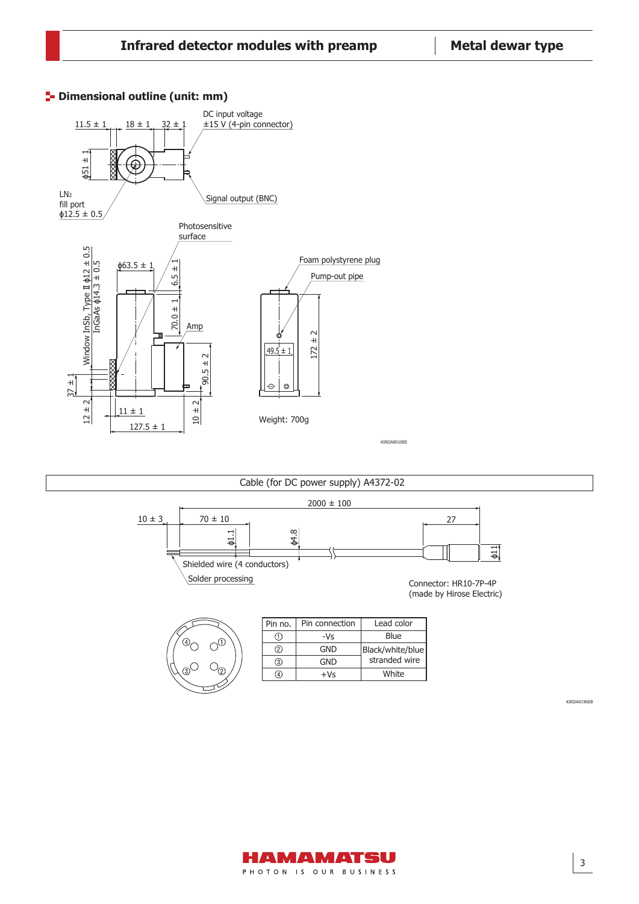

## **<sup>1</sup>** Dimensional outline (unit: mm)